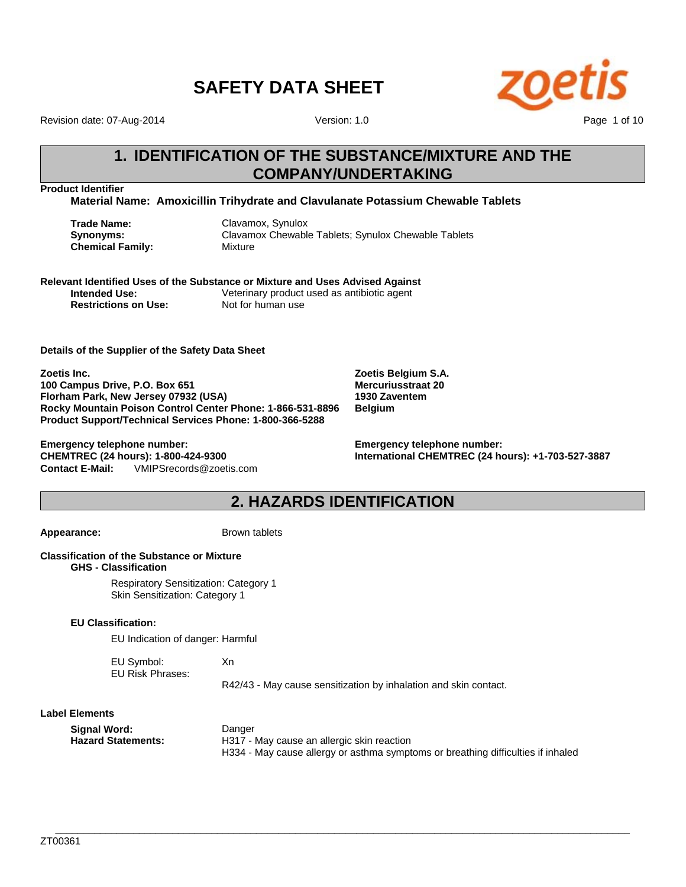

Revision date: 07-Aug-2014

Version: 1.0

### **1. IDENTIFICATION OF THE SUBSTANCE/MIXTURE AND THE COMPANY/UNDERTAKING**

**Product Identifier**

**Material Name: Amoxicillin Trihydrate and Clavulanate Potassium Chewable Tablets**

**Trade Name:** Clavamox, Synulox **Chemical Family:** Mixture

**Synonyms:** Clavamox Chewable Tablets; Synulox Chewable Tablets

**Relevant Identified Uses of the Substance or Mixture and Uses Advised Against Intended Use:** Veterinary product used as antibiotic agent **Restrictions on Use:** Not for human use

**Details of the Supplier of the Safety Data Sheet**

**Zoetis Inc. 100 Campus Drive, P.O. Box 651 Florham Park, New Jersey 07932 (USA) Rocky Mountain Poison Control Center Phone: 1-866-531-8896 Product Support/Technical Services Phone: 1-800-366-5288**

**Contact E-Mail:** VMIPSrecords@zoetis.com **Emergency telephone number: CHEMTREC (24 hours): 1-800-424-9300**

**Zoetis Belgium S.A. Mercuriusstraat 20 1930 Zaventem Belgium**

**Emergency telephone number: International CHEMTREC (24 hours): +1-703-527-3887**

### **2. HAZARDS IDENTIFICATION**

Appearance: Brown tablets

#### **Classification of the Substance or Mixture GHS - Classification**

Respiratory Sensitization: Category 1 Skin Sensitization: Category 1

#### **EU Classification:**

EU Indication of danger: Harmful

EU Symbol: Xn EU Risk Phrases:

R42/43 - May cause sensitization by inhalation and skin contact.

#### **Label Elements**

| Signal Word:              | Danger                                                                           |
|---------------------------|----------------------------------------------------------------------------------|
| <b>Hazard Statements:</b> | H317 - May cause an allergic skin reaction                                       |
|                           | H334 - May cause allergy or asthma symptoms or breathing difficulties if inhaled |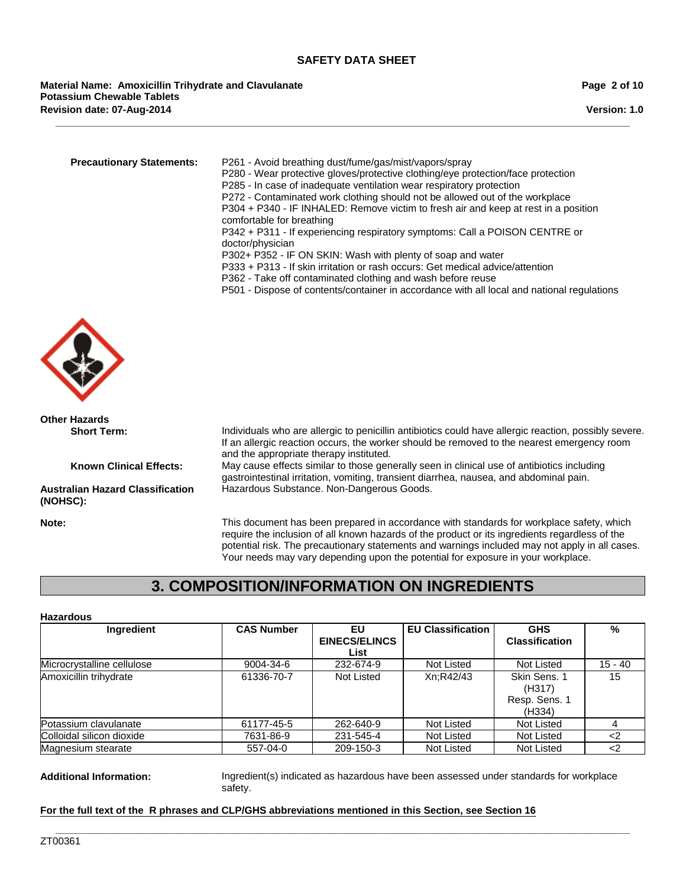**\_\_\_\_\_\_\_\_\_\_\_\_\_\_\_\_\_\_\_\_\_\_\_\_\_\_\_\_\_\_\_\_\_\_\_\_\_\_\_\_\_\_\_\_\_\_\_\_\_\_\_\_\_\_\_\_\_\_\_\_\_\_\_\_\_\_\_\_\_\_\_\_\_\_\_\_\_\_\_\_\_\_\_\_\_\_\_\_\_\_\_\_\_\_\_\_\_\_\_\_\_\_\_**

**Revision date: 07-Aug-2014 Material Name: Amoxicillin Trihydrate and Clavulanate Potassium Chewable Tablets**

**Version: 1.0**

| comfortable for breathing<br>P342 + P311 - If experiencing respiratory symptoms: Call a POISON CENTRE or<br>doctor/physician<br>P302+ P352 - IF ON SKIN: Wash with plenty of soap and water<br>P333 + P313 - If skin irritation or rash occurs: Get medical advice/attention<br>P362 - Take off contaminated clothing and wash before reuse | <b>Precautionary Statements:</b> | P261 - Avoid breathing dust/fume/gas/mist/vapors/spray<br>P280 - Wear protective gloves/protective clothing/eye protection/face protection<br>P285 - In case of inadequate ventilation wear respiratory protection<br>P272 - Contaminated work clothing should not be allowed out of the workplace<br>P304 + P340 - IF INHALED: Remove victim to fresh air and keep at rest in a position<br>P501 - Dispose of contents/container in accordance with all local and national regulations |
|---------------------------------------------------------------------------------------------------------------------------------------------------------------------------------------------------------------------------------------------------------------------------------------------------------------------------------------------|----------------------------------|-----------------------------------------------------------------------------------------------------------------------------------------------------------------------------------------------------------------------------------------------------------------------------------------------------------------------------------------------------------------------------------------------------------------------------------------------------------------------------------------|
|---------------------------------------------------------------------------------------------------------------------------------------------------------------------------------------------------------------------------------------------------------------------------------------------------------------------------------------------|----------------------------------|-----------------------------------------------------------------------------------------------------------------------------------------------------------------------------------------------------------------------------------------------------------------------------------------------------------------------------------------------------------------------------------------------------------------------------------------------------------------------------------------|



**Other Hazards**

**Australian Hazard Classification (NOHSC):**

**Short Term:** Individuals who are allergic to penicillin antibiotics could have allergic reaction, possibly severe. If an allergic reaction occurs, the worker should be removed to the nearest emergency room and the appropriate therapy instituted.

**Known Clinical Effects:** May cause effects similar to those generally seen in clinical use of antibiotics including gastrointestinal irritation, vomiting, transient diarrhea, nausea, and abdominal pain. Hazardous Substance. Non-Dangerous Goods.

**Note:** This document has been prepared in accordance with standards for workplace safety, which require the inclusion of all known hazards of the product or its ingredients regardless of the potential risk. The precautionary statements and warnings included may not apply in all cases. Your needs may vary depending upon the potential for exposure in your workplace.

### **3. COMPOSITION/INFORMATION ON INGREDIENTS**

#### **Hazardous**

| <b>Ingredient</b>          | <b>CAS Number</b> | EU                   | <b>EU Classification</b> | <b>GHS</b>            | %         |
|----------------------------|-------------------|----------------------|--------------------------|-----------------------|-----------|
|                            |                   | <b>EINECS/ELINCS</b> |                          | <b>Classification</b> |           |
|                            |                   | List                 |                          |                       |           |
| Microcrystalline cellulose | 9004-34-6         | 232-674-9            | Not Listed               | Not Listed            | $15 - 40$ |
| Amoxicillin trihydrate     | 61336-70-7        | Not Listed           | Xn;R42/43                | Skin Sens, 1          | 15        |
|                            |                   |                      |                          | (H317)                |           |
|                            |                   |                      |                          | Resp. Sens. 1         |           |
|                            |                   |                      |                          | (H334)                |           |
| Potassium clavulanate      | 61177-45-5        | 262-640-9            | Not Listed               | <b>Not Listed</b>     |           |
| Colloidal silicon dioxide  | 7631-86-9         | 231-545-4            | Not Listed               | <b>Not Listed</b>     | <2        |
| Magnesium stearate         | 557-04-0          | 209-150-3            | <b>Not Listed</b>        | <b>Not Listed</b>     | ر>        |

**\_\_\_\_\_\_\_\_\_\_\_\_\_\_\_\_\_\_\_\_\_\_\_\_\_\_\_\_\_\_\_\_\_\_\_\_\_\_\_\_\_\_\_\_\_\_\_\_\_\_\_\_\_\_\_\_\_\_\_\_\_\_\_\_\_\_\_\_\_\_\_\_\_\_\_\_\_\_\_\_\_\_\_\_\_\_\_\_\_\_\_\_\_\_\_\_\_\_\_\_\_\_\_**

**Additional Information:** Ingredient(s) indicated as hazardous have been assessed under standards for workplace safety.

#### **For the full text of the R phrases and CLP/GHS abbreviations mentioned in this Section, see Section 16**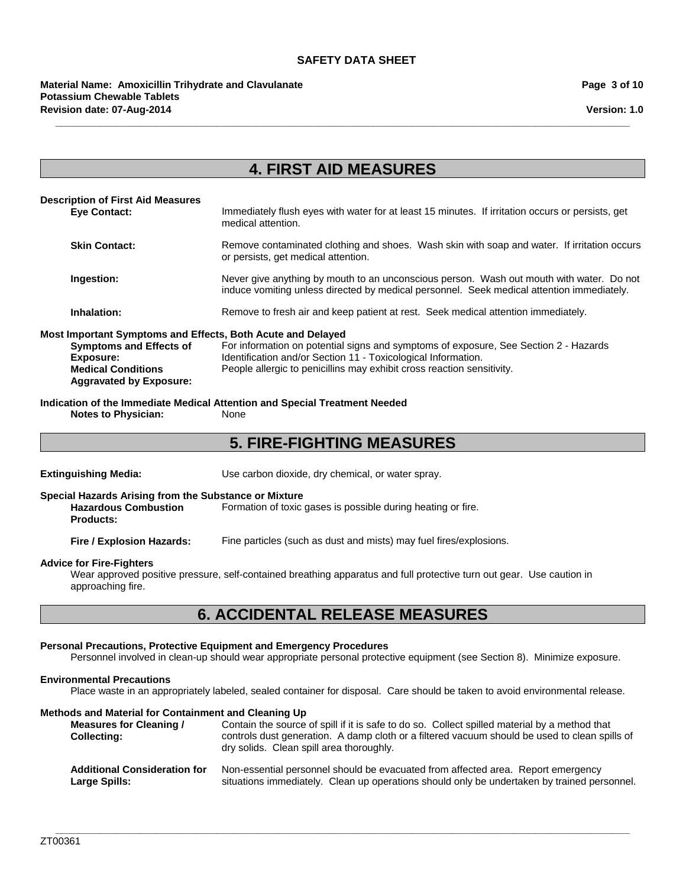#### **Revision date: 07-Aug-2014 Material Name: Amoxicillin Trihydrate and Clavulanate Potassium Chewable Tablets**

**Version: 1.0**

### **4. FIRST AID MEASURES**

**\_\_\_\_\_\_\_\_\_\_\_\_\_\_\_\_\_\_\_\_\_\_\_\_\_\_\_\_\_\_\_\_\_\_\_\_\_\_\_\_\_\_\_\_\_\_\_\_\_\_\_\_\_\_\_\_\_\_\_\_\_\_\_\_\_\_\_\_\_\_\_\_\_\_\_\_\_\_\_\_\_\_\_\_\_\_\_\_\_\_\_\_\_\_\_\_\_\_\_\_\_\_\_**

#### **Description of First Aid Measures** Immediately flush eyes with water for at least 15 minutes. If irritation occurs or persists, get medical attention. **Skin Contact:** Remove contaminated clothing and shoes. Wash skin with soap and water. If irritation occurs or persists, get medical attention. **Ingestion:** Never give anything by mouth to an unconscious person. Wash out mouth with water. Do not induce vomiting unless directed by medical personnel. Seek medical attention immediately. **Inhalation:** Remove to fresh air and keep patient at rest. Seek medical attention immediately. **Most Important Symptoms and Effects, Both Acute and Delayed Symptoms and Effects of Exposure:** For information on potential signs and symptoms of exposure, See Section 2 - Hazards Identification and/or Section 11 - Toxicological Information. **Medical Conditions Aggravated by Exposure:** People allergic to penicillins may exhibit cross reaction sensitivity.

**Indication of the Immediate Medical Attention and Special Treatment Needed Notes to Physician:** 

### **5. FIRE-FIGHTING MEASURES**

**Extinguishing Media:** Use carbon dioxide, dry chemical, or water spray.

**Special Hazards Arising from the Substance or Mixture**

**Hazardous Combustion Products:** Formation of toxic gases is possible during heating or fire.

**Fire / Explosion Hazards:** Fine particles (such as dust and mists) may fuel fires/explosions.

#### **Advice for Fire-Fighters**

Wear approved positive pressure, self-contained breathing apparatus and full protective turn out gear. Use caution in approaching fire.

### **6. ACCIDENTAL RELEASE MEASURES**

#### **Personal Precautions, Protective Equipment and Emergency Procedures**

Personnel involved in clean-up should wear appropriate personal protective equipment (see Section 8). Minimize exposure.

#### **Environmental Precautions**

Place waste in an appropriately labeled, sealed container for disposal. Care should be taken to avoid environmental release.

#### **Methods and Material for Containment and Cleaning Up**

| Measures for Cleaning /<br><b>Collecting:</b> | Contain the source of spill if it is safe to do so. Collect spilled material by a method that<br>controls dust generation. A damp cloth or a filtered vacuum should be used to clean spills of<br>dry solids. Clean spill area thoroughly. |  |  |
|-----------------------------------------------|--------------------------------------------------------------------------------------------------------------------------------------------------------------------------------------------------------------------------------------------|--|--|
| <b>Additional Consideration for</b>           | Non-essential personnel should be evacuated from affected area. Report emergency                                                                                                                                                           |  |  |
| <b>Large Spills:</b>                          | situations immediately. Clean up operations should only be undertaken by trained personnel.                                                                                                                                                |  |  |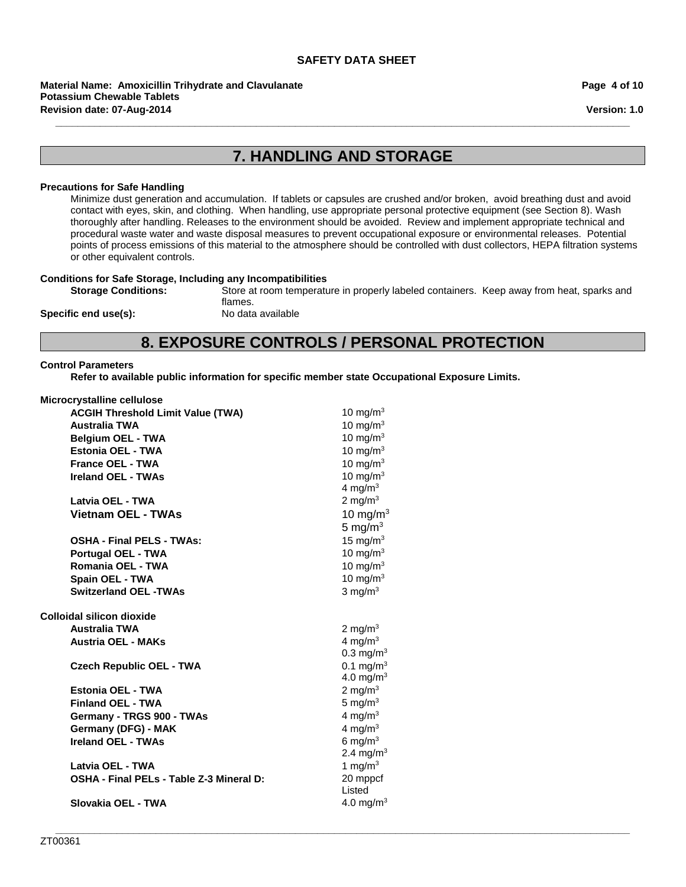**Revision date: 07-Aug-2014 Material Name: Amoxicillin Trihydrate and Clavulanate Potassium Chewable Tablets**

**Page 4 of 10**

**Version: 1.0**

### **7. HANDLING AND STORAGE**

**\_\_\_\_\_\_\_\_\_\_\_\_\_\_\_\_\_\_\_\_\_\_\_\_\_\_\_\_\_\_\_\_\_\_\_\_\_\_\_\_\_\_\_\_\_\_\_\_\_\_\_\_\_\_\_\_\_\_\_\_\_\_\_\_\_\_\_\_\_\_\_\_\_\_\_\_\_\_\_\_\_\_\_\_\_\_\_\_\_\_\_\_\_\_\_\_\_\_\_\_\_\_\_**

#### **Precautions for Safe Handling**

Minimize dust generation and accumulation. If tablets or capsules are crushed and/or broken, avoid breathing dust and avoid contact with eyes, skin, and clothing. When handling, use appropriate personal protective equipment (see Section 8). Wash thoroughly after handling. Releases to the environment should be avoided. Review and implement appropriate technical and procedural waste water and waste disposal measures to prevent occupational exposure or environmental releases. Potential points of process emissions of this material to the atmosphere should be controlled with dust collectors, HEPA filtration systems or other equivalent controls.

# **Conditions for Safe Storage, Including any Incompatibilities**

Store at room temperature in properly labeled containers. Keep away from heat, sparks and

**Specific end use(s):** 

flames.<br>No data available

### **8. EXPOSURE CONTROLS / PERSONAL PROTECTION**

**\_\_\_\_\_\_\_\_\_\_\_\_\_\_\_\_\_\_\_\_\_\_\_\_\_\_\_\_\_\_\_\_\_\_\_\_\_\_\_\_\_\_\_\_\_\_\_\_\_\_\_\_\_\_\_\_\_\_\_\_\_\_\_\_\_\_\_\_\_\_\_\_\_\_\_\_\_\_\_\_\_\_\_\_\_\_\_\_\_\_\_\_\_\_\_\_\_\_\_\_\_\_\_**

#### **Control Parameters**

**Refer to available public information for specific member state Occupational Exposure Limits.**

| Microcrystalline cellulose |  |
|----------------------------|--|
|----------------------------|--|

| <b>ACGIH Threshold Limit Value (TWA)</b> | 10 mg/m $3$             |
|------------------------------------------|-------------------------|
| <b>Australia TWA</b>                     | 10 mg/m $3$             |
| <b>Belgium OEL - TWA</b>                 | 10 mg/m $3$             |
| Estonia OEL - TWA                        | 10 mg/m $3$             |
| <b>France OEL - TWA</b>                  | 10 mg/m $3$             |
| <b>Ireland OEL - TWAs</b>                | 10 mg/m $3$             |
|                                          | 4 mg/m $3$              |
| Latvia OEL - TWA                         | 2 mg/m $3$              |
| <b>Vietnam OEL - TWAs</b>                | 10 mg/m $3$             |
|                                          | 5 mg/m $3$              |
| <b>OSHA - Final PELS - TWAs:</b>         | 15 mg/ $m3$             |
| <b>Portugal OEL - TWA</b>                | 10 mg/m $3$             |
| Romania OEL - TWA                        | 10 mg/m $3$             |
| Spain OEL - TWA                          | 10 mg/m $3$             |
| <b>Switzerland OEL -TWAs</b>             | 3 mg/ $m3$              |
| Colloidal silicon dioxide                |                         |
| <b>Australia TWA</b>                     | 2 mg/m $3$              |
| <b>Austria OEL - MAKs</b>                | 4 mg/m $3$              |
|                                          | $0.3$ mg/m <sup>3</sup> |
| <b>Czech Republic OEL - TWA</b>          | 0.1 mg/m <sup>3</sup>   |
|                                          | 4.0 mg/m <sup>3</sup>   |
| Estonia OEL - TWA                        | 2 mg/m $3$              |
| <b>Finland OEL - TWA</b>                 | 5 mg/ $m3$              |
| Germany - TRGS 900 - TWAs                | 4 mg/m $3$              |
| Germany (DFG) - MAK                      | 4 mg/ $m3$              |
| <b>Ireland OEL - TWAs</b>                | 6 mg/m $3$              |
|                                          | 2.4 mg/m <sup>3</sup>   |
| Latvia OEL - TWA                         | 1 mg/m $3$              |
| OSHA - Final PELs - Table Z-3 Mineral D: | 20 mppcf                |
|                                          | Listed                  |
| Slovakia OEL - TWA                       | 4.0 mg/m <sup>3</sup>   |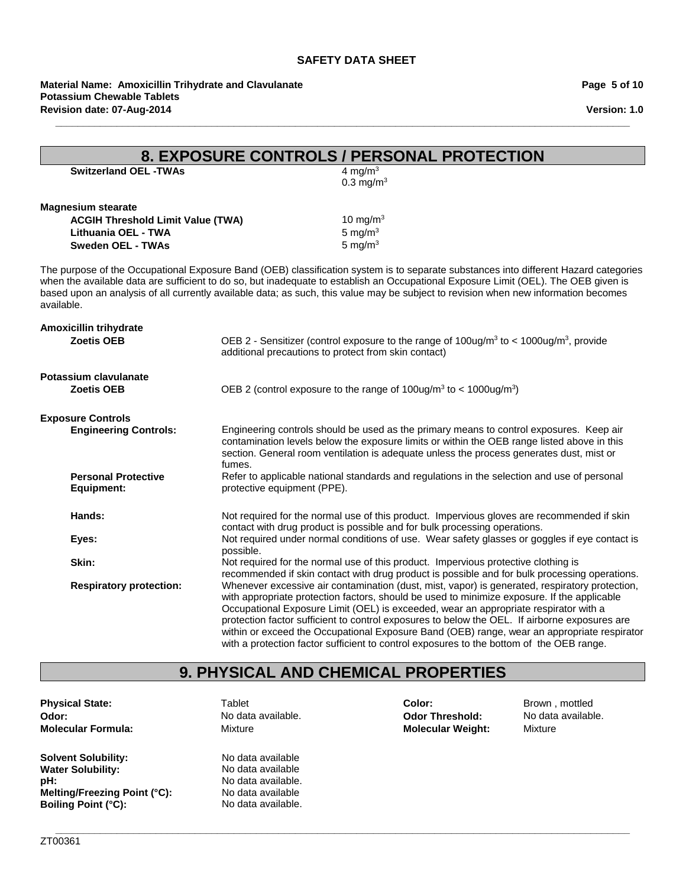**\_\_\_\_\_\_\_\_\_\_\_\_\_\_\_\_\_\_\_\_\_\_\_\_\_\_\_\_\_\_\_\_\_\_\_\_\_\_\_\_\_\_\_\_\_\_\_\_\_\_\_\_\_\_\_\_\_\_\_\_\_\_\_\_\_\_\_\_\_\_\_\_\_\_\_\_\_\_\_\_\_\_\_\_\_\_\_\_\_\_\_\_\_\_\_\_\_\_\_\_\_\_\_**

**Material Name: Amoxicillin Trihydrate and Clavulanate Potassium Chewable Tablets Revision date: 07-Aug-2014**

**Page 5 of 10**

**Version: 1.0**

| 8. EXPOSURE CONTROLS / PERSONAL PROTECTION                                                                               |                                                                                                                                                                                                                                                                                                                                                                                                                                                                                                                                                                                   |  |  |
|--------------------------------------------------------------------------------------------------------------------------|-----------------------------------------------------------------------------------------------------------------------------------------------------------------------------------------------------------------------------------------------------------------------------------------------------------------------------------------------------------------------------------------------------------------------------------------------------------------------------------------------------------------------------------------------------------------------------------|--|--|
| <b>Switzerland OEL -TWAs</b>                                                                                             | 4 mg/m $3$<br>$0.3$ mg/m <sup>3</sup>                                                                                                                                                                                                                                                                                                                                                                                                                                                                                                                                             |  |  |
| <b>Magnesium stearate</b><br><b>ACGIH Threshold Limit Value (TWA)</b><br>Lithuania OEL - TWA<br><b>Sweden OEL - TWAs</b> | 10 mg/m $3$<br>5 mg/ $m3$<br>5 mg/ $m3$                                                                                                                                                                                                                                                                                                                                                                                                                                                                                                                                           |  |  |
| available.                                                                                                               | The purpose of the Occupational Exposure Band (OEB) classification system is to separate substances into different Hazard categories<br>when the available data are sufficient to do so, but inadequate to establish an Occupational Exposure Limit (OEL). The OEB given is<br>based upon an analysis of all currently available data; as such, this value may be subject to revision when new information becomes                                                                                                                                                                |  |  |
| Amoxicillin trihydrate<br><b>Zoetis OEB</b>                                                                              | OEB 2 - Sensitizer (control exposure to the range of 100ug/m <sup>3</sup> to < 1000ug/m <sup>3</sup> , provide<br>additional precautions to protect from skin contact)                                                                                                                                                                                                                                                                                                                                                                                                            |  |  |
| Potassium clavulanate<br><b>Zoetis OEB</b>                                                                               | OEB 2 (control exposure to the range of $100\mu\text{g/m}^3$ to < $1000\mu\text{g/m}^3$ )                                                                                                                                                                                                                                                                                                                                                                                                                                                                                         |  |  |
| <b>Exposure Controls</b>                                                                                                 |                                                                                                                                                                                                                                                                                                                                                                                                                                                                                                                                                                                   |  |  |
| <b>Engineering Controls:</b>                                                                                             | Engineering controls should be used as the primary means to control exposures. Keep air<br>contamination levels below the exposure limits or within the OEB range listed above in this<br>section. General room ventilation is adequate unless the process generates dust, mist or<br>fumes.                                                                                                                                                                                                                                                                                      |  |  |
| <b>Personal Protective</b><br><b>Equipment:</b>                                                                          | Refer to applicable national standards and regulations in the selection and use of personal<br>protective equipment (PPE).                                                                                                                                                                                                                                                                                                                                                                                                                                                        |  |  |
| Hands:                                                                                                                   | Not required for the normal use of this product. Impervious gloves are recommended if skin<br>contact with drug product is possible and for bulk processing operations.                                                                                                                                                                                                                                                                                                                                                                                                           |  |  |
| Eyes:                                                                                                                    | Not required under normal conditions of use. Wear safety glasses or goggles if eye contact is<br>possible.                                                                                                                                                                                                                                                                                                                                                                                                                                                                        |  |  |
| Skin:                                                                                                                    | Not required for the normal use of this product. Impervious protective clothing is<br>recommended if skin contact with drug product is possible and for bulk processing operations.                                                                                                                                                                                                                                                                                                                                                                                               |  |  |
| <b>Respiratory protection:</b>                                                                                           | Whenever excessive air contamination (dust, mist, vapor) is generated, respiratory protection,<br>with appropriate protection factors, should be used to minimize exposure. If the applicable<br>Occupational Exposure Limit (OEL) is exceeded, wear an appropriate respirator with a<br>protection factor sufficient to control exposures to below the OEL. If airborne exposures are<br>within or exceed the Occupational Exposure Band (OEB) range, wear an appropriate respirator<br>with a protection factor sufficient to control exposures to the bottom of the OEB range. |  |  |

## **9. PHYSICAL AND CHEMICAL PROPERTIES**

**\_\_\_\_\_\_\_\_\_\_\_\_\_\_\_\_\_\_\_\_\_\_\_\_\_\_\_\_\_\_\_\_\_\_\_\_\_\_\_\_\_\_\_\_\_\_\_\_\_\_\_\_\_\_\_\_\_\_\_\_\_\_\_\_\_\_\_\_\_\_\_\_\_\_\_\_\_\_\_\_\_\_\_\_\_\_\_\_\_\_\_\_\_\_\_\_\_\_\_\_\_\_\_**

**Physical State:** Tablet **Odor: No data available. Odor Threshold:** No data available. **No deta available. Molecular Formula: Mixture Mixture Mixture Molecular Weight:** Mixture **Molecular Formula:** 

**Solvent Solubility:** No data available<br> **Water Solubility:** No data available **Water Solubility: pH:** No data available. **Melting/Freezing Point (°C):** No data available **Boiling Point (°C):** No data available.

**Color:** Brown, mottled **Molecular Weight:**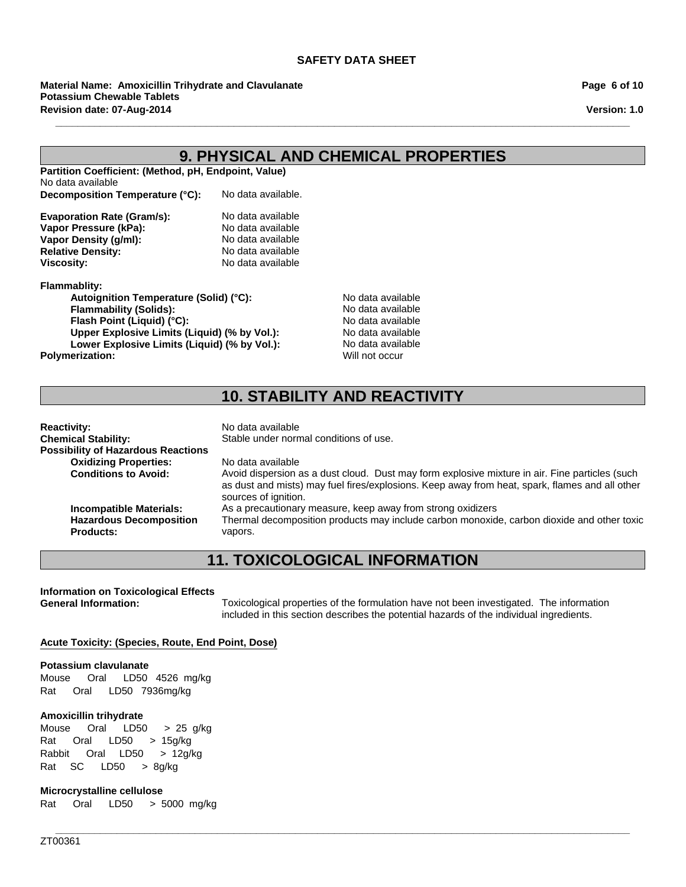**Revision date: 07-Aug-2014 Material Name: Amoxicillin Trihydrate and Clavulanate Potassium Chewable Tablets**

| Page 6 of 10 |  |  |  |  |
|--------------|--|--|--|--|
|--------------|--|--|--|--|

**Version: 1.0**

### **9. PHYSICAL AND CHEMICAL PROPERTIES**

**\_\_\_\_\_\_\_\_\_\_\_\_\_\_\_\_\_\_\_\_\_\_\_\_\_\_\_\_\_\_\_\_\_\_\_\_\_\_\_\_\_\_\_\_\_\_\_\_\_\_\_\_\_\_\_\_\_\_\_\_\_\_\_\_\_\_\_\_\_\_\_\_\_\_\_\_\_\_\_\_\_\_\_\_\_\_\_\_\_\_\_\_\_\_\_\_\_\_\_\_\_\_\_**

**Partition Coefficient: (Method, pH, Endpoint, Value)** No data available **Decomposition Temperature (°C):** No data available.

| No data available |
|-------------------|
| No data available |
| No data available |
| No data available |
| No data available |
|                   |

**Flammablity:**

**Autoignition Temperature (Solid) (°C):** No data available<br> **Flammability (Solids):** No data available **Flammability (Solids):**<br> **Flash Point (Liquid) (°C):** No data available **Flash Point (Liquid) (°C): Flash Point (Liquid) (°C):**<br> **Upper Explosive Limits (Liquid) (% by Vol.):** No data available **Upper Explosive Limits (Liquid) (% by Vol.):** No data available<br>
Lower Explosive Limits (Liquid) (% by Vol.): No data available Lower Explosive Limits (Liquid) (% by Vol.): Polymerization: Will not occur

### **10. STABILITY AND REACTIVITY**

| <b>Reactivity:</b>                        | No data available                                                                                                                                                                                                        |
|-------------------------------------------|--------------------------------------------------------------------------------------------------------------------------------------------------------------------------------------------------------------------------|
| <b>Chemical Stability:</b>                | Stable under normal conditions of use.                                                                                                                                                                                   |
| <b>Possibility of Hazardous Reactions</b> |                                                                                                                                                                                                                          |
| <b>Oxidizing Properties:</b>              | No data available                                                                                                                                                                                                        |
| <b>Conditions to Avoid:</b>               | Avoid dispersion as a dust cloud. Dust may form explosive mixture in air. Fine particles (such<br>as dust and mists) may fuel fires/explosions. Keep away from heat, spark, flames and all other<br>sources of ignition. |
| <b>Incompatible Materials:</b>            | As a precautionary measure, keep away from strong oxidizers                                                                                                                                                              |
| <b>Hazardous Decomposition</b>            | Thermal decomposition products may include carbon monoxide, carbon dioxide and other toxic                                                                                                                               |
| <b>Products:</b>                          | vapors.                                                                                                                                                                                                                  |

### **11. TOXICOLOGICAL INFORMATION**

**\_\_\_\_\_\_\_\_\_\_\_\_\_\_\_\_\_\_\_\_\_\_\_\_\_\_\_\_\_\_\_\_\_\_\_\_\_\_\_\_\_\_\_\_\_\_\_\_\_\_\_\_\_\_\_\_\_\_\_\_\_\_\_\_\_\_\_\_\_\_\_\_\_\_\_\_\_\_\_\_\_\_\_\_\_\_\_\_\_\_\_\_\_\_\_\_\_\_\_\_\_\_\_**

**Information on Toxicological Effects**

**General Information:** Toxicological properties of the formulation have not been investigated. The information included in this section describes the potential hazards of the individual ingredients.

#### **Acute Toxicity: (Species, Route, End Point, Dose)**

#### **Potassium clavulanate**

Mouse Oral LD50 4526mg/kg Rat Oral LD50 7936mg/kg

#### **Amoxicillin trihydrate**

Rat Oral LD50 >15g/kg Rabbit OralLD50 >12g/kg RatSC LD50 >8g/kg Mouse Oral LD50 >25g/kg

#### **Microcrystalline cellulose**

Rat Oral LD50 >5000mg/kg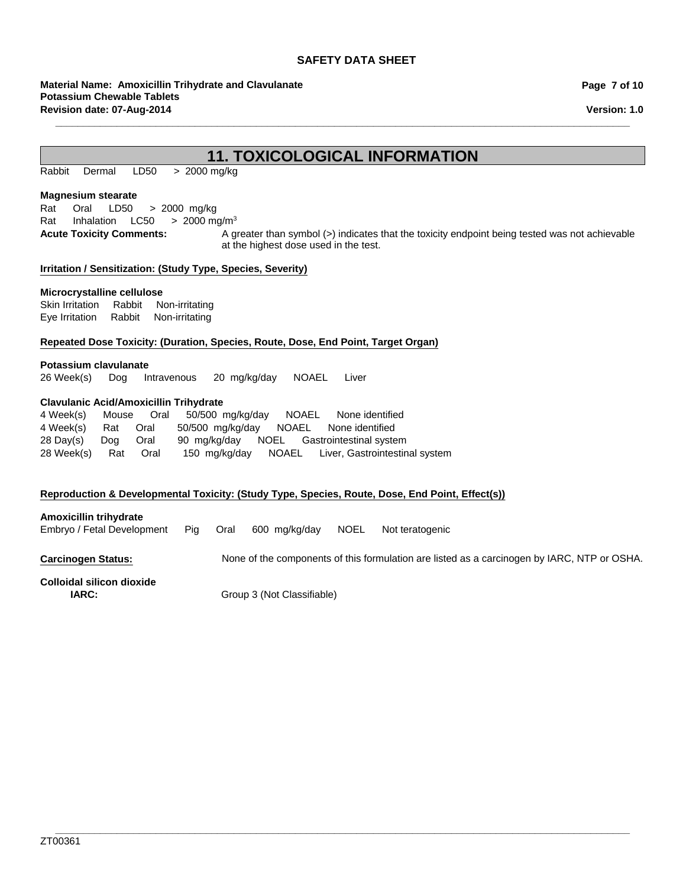**Revision date: 07-Aug-2014 Material Name: Amoxicillin Trihydrate and Clavulanate Potassium Chewable Tablets**

**Page 7 of 10**

**Version: 1.0**

### **11. TOXICOLOGICAL INFORMATION**

**\_\_\_\_\_\_\_\_\_\_\_\_\_\_\_\_\_\_\_\_\_\_\_\_\_\_\_\_\_\_\_\_\_\_\_\_\_\_\_\_\_\_\_\_\_\_\_\_\_\_\_\_\_\_\_\_\_\_\_\_\_\_\_\_\_\_\_\_\_\_\_\_\_\_\_\_\_\_\_\_\_\_\_\_\_\_\_\_\_\_\_\_\_\_\_\_\_\_\_\_\_\_\_**

RabbitDermal LD50 >2000 mg/kg

#### **Magnesium stearate**

Rat Oral LD50 >2000mg/kg Rat InhalationLC50 >2000 mg/m3

Acute Toxicity Comments: A greater than symbol (>) indicates that the toxicity endpoint being tested was not achievable at the highest dose used in the test.

#### **Irritation / Sensitization: (Study Type, Species, Severity)**

#### **Microcrystalline cellulose**

Skin IrritationRabbitNon-irritating Eye IrritationRabbitNon-irritating

#### **Repeated Dose Toxicity: (Duration, Species, Route, Dose, End Point, Target Organ)**

#### **Potassium clavulanate**

26 Week(s)DogIntravenous20mg/kg/dayNOAELLiver

#### **Clavulanic Acid/Amoxicillin Trihydrate**

| 4 Week(s)      |          | Mouse Oral |  | 50/500 mg/kg/day NOAEL None identified             |
|----------------|----------|------------|--|----------------------------------------------------|
| 4 Week(s)      | Rat Oral |            |  | 50/500 mg/kg/day NOAEL None identified             |
| 28 Day(s)      | Doa      | Oral       |  | 90 mg/kg/day NOEL Gastrointestinal system          |
| 28 Week(s) Rat |          | Oral       |  | 150 mg/kg/day NOAEL Liver, Gastrointestinal system |

#### **Reproduction & Developmental Toxicity: (Study Type, Species, Route, Dose, End Point, Effect(s))**

#### **Amoxicillin trihydrate**

Embryo / Fetal DevelopmentPigOral600mg/kg/dayNOELNot teratogenic

**Carcinogen Status:** None of the components of this formulation are listed as a carcinogen by IARC, NTP or OSHA.

# **Colloidal silicon dioxide**

**IARC:** Group 3 (Not Classifiable)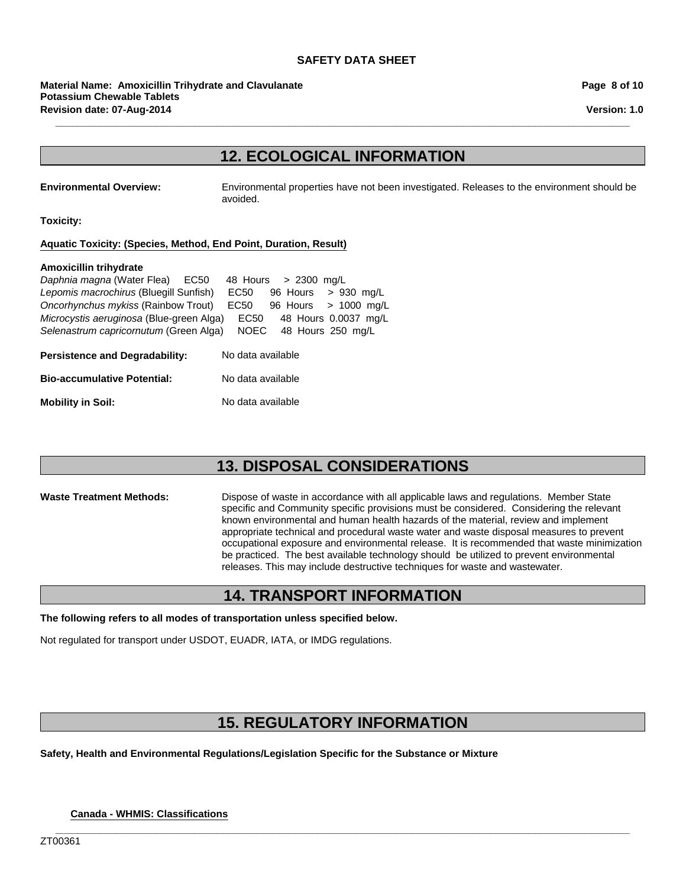**Revision date: 07-Aug-2014 Material Name: Amoxicillin Trihydrate and Clavulanate Potassium Chewable Tablets**

**Page 8 of 10**

**Version: 1.0**

### **12. ECOLOGICAL INFORMATION**

**\_\_\_\_\_\_\_\_\_\_\_\_\_\_\_\_\_\_\_\_\_\_\_\_\_\_\_\_\_\_\_\_\_\_\_\_\_\_\_\_\_\_\_\_\_\_\_\_\_\_\_\_\_\_\_\_\_\_\_\_\_\_\_\_\_\_\_\_\_\_\_\_\_\_\_\_\_\_\_\_\_\_\_\_\_\_\_\_\_\_\_\_\_\_\_\_\_\_\_\_\_\_\_**

**Environmental Overview:** Environmental properties have not been investigated. Releases to the environment should be avoided.

**Toxicity:**

#### **Aquatic Toxicity: (Species, Method, End Point, Duration, Result)**

#### **Amoxicillin trihydrate**

| <b>Persistence and Degradability:</b>    | No data available    |  |                         |  |
|------------------------------------------|----------------------|--|-------------------------|--|
| Selenastrum capricornutum (Green Alga)   | <b>NOEC</b>          |  | 48 Hours 250 mg/L       |  |
| Microcystis aeruginosa (Blue-green Alga) | EC50                 |  | 48 Hours 0.0037 mg/L    |  |
| Oncorhynchus mykiss (Rainbow Trout)      | EC50                 |  | 96 Hours > 1000 mg/L    |  |
| Lepomis macrochirus (Bluegill Sunfish)   | EC50                 |  | $96$ Hours $> 930$ mg/L |  |
| Daphnia magna (Water Flea) EC50          | 48 Hours > 2300 mg/L |  |                         |  |

| <b>Bio-accumulative Potential:</b> | No data available |
|------------------------------------|-------------------|
|                                    |                   |

**Mobility in Soil:** No data available

### **13. DISPOSAL CONSIDERATIONS**

**Waste Treatment Methods:** Dispose of waste in accordance with all applicable laws and regulations. Member State specific and Community specific provisions must be considered. Considering the relevant known environmental and human health hazards of the material, review and implement appropriate technical and procedural waste water and waste disposal measures to prevent occupational exposure and environmental release. It is recommended that waste minimization be practiced. The best available technology should be utilized to prevent environmental releases. This may include destructive techniques for waste and wastewater.

### **14. TRANSPORT INFORMATION**

**The following refers to all modes of transportation unless specified below.**

Not regulated for transport under USDOT, EUADR, IATA, or IMDG regulations.

### **15. REGULATORY INFORMATION**

**\_\_\_\_\_\_\_\_\_\_\_\_\_\_\_\_\_\_\_\_\_\_\_\_\_\_\_\_\_\_\_\_\_\_\_\_\_\_\_\_\_\_\_\_\_\_\_\_\_\_\_\_\_\_\_\_\_\_\_\_\_\_\_\_\_\_\_\_\_\_\_\_\_\_\_\_\_\_\_\_\_\_\_\_\_\_\_\_\_\_\_\_\_\_\_\_\_\_\_\_\_\_\_**

**Safety, Health and Environmental Regulations/Legislation Specific for the Substance or Mixture**

**Canada - WHMIS: Classifications**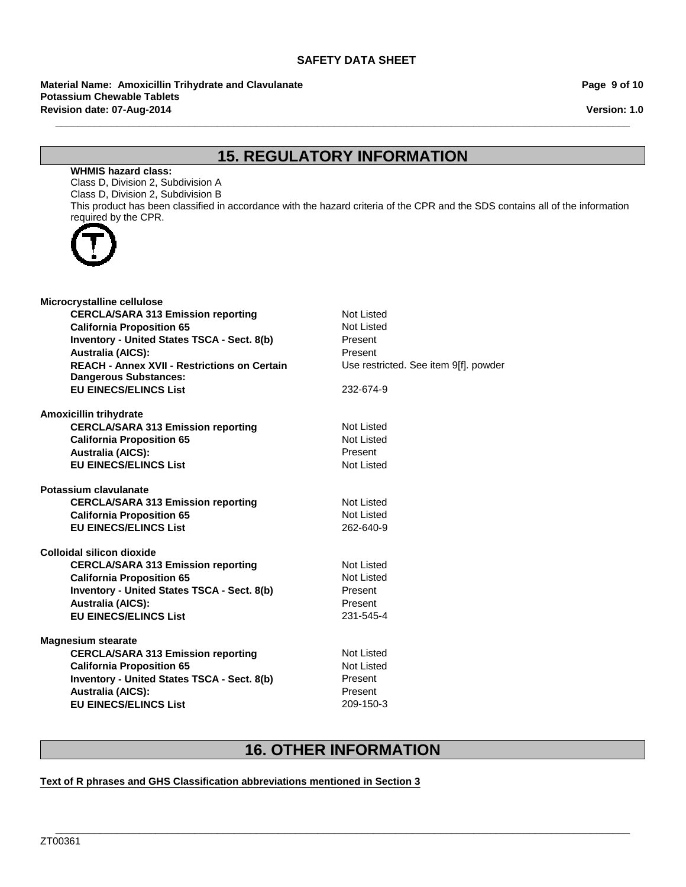**Revision date: 07-Aug-2014 Material Name: Amoxicillin Trihydrate and Clavulanate Potassium Chewable Tablets**

#### **Page 9 of 10**

**Version: 1.0**

## **15. REGULATORY INFORMATION**

**\_\_\_\_\_\_\_\_\_\_\_\_\_\_\_\_\_\_\_\_\_\_\_\_\_\_\_\_\_\_\_\_\_\_\_\_\_\_\_\_\_\_\_\_\_\_\_\_\_\_\_\_\_\_\_\_\_\_\_\_\_\_\_\_\_\_\_\_\_\_\_\_\_\_\_\_\_\_\_\_\_\_\_\_\_\_\_\_\_\_\_\_\_\_\_\_\_\_\_\_\_\_\_**

#### **WHMIS hazard class:**

Class D, Division 2, Subdivision A Class D, Division 2, Subdivision B This product has been classified in accordance with the hazard criteria of the CPR and the SDS contains all of the information required by the CPR.



| Microcrystalline cellulose                          |                                       |
|-----------------------------------------------------|---------------------------------------|
| <b>CERCLA/SARA 313 Emission reporting</b>           | Not Listed                            |
| <b>California Proposition 65</b>                    | <b>Not Listed</b>                     |
| Inventory - United States TSCA - Sect. 8(b)         | Present                               |
| <b>Australia (AICS):</b>                            | Present                               |
| <b>REACH - Annex XVII - Restrictions on Certain</b> | Use restricted. See item 9[f]. powder |
| <b>Dangerous Substances:</b>                        |                                       |
| <b>EU EINECS/ELINCS List</b>                        | 232-674-9                             |
| Amoxicillin trihydrate                              |                                       |
| <b>CERCLA/SARA 313 Emission reporting</b>           | Not Listed                            |
| <b>California Proposition 65</b>                    | Not Listed                            |
| <b>Australia (AICS):</b>                            | Present                               |
| <b>EU EINECS/ELINCS List</b>                        | Not Listed                            |
| Potassium clavulanate                               |                                       |
| <b>CERCLA/SARA 313 Emission reporting</b>           | <b>Not Listed</b>                     |
| <b>California Proposition 65</b>                    | <b>Not Listed</b>                     |
| <b>EU EINECS/ELINCS List</b>                        | 262-640-9                             |
| Colloidal silicon dioxide                           |                                       |
| <b>CERCLA/SARA 313 Emission reporting</b>           | <b>Not Listed</b>                     |
| <b>California Proposition 65</b>                    | Not Listed                            |
| <b>Inventory - United States TSCA - Sect. 8(b)</b>  | Present                               |
| <b>Australia (AICS):</b>                            | Present                               |
| <b>EU EINECS/ELINCS List</b>                        | 231-545-4                             |
| <b>Magnesium stearate</b>                           |                                       |
| <b>CERCLA/SARA 313 Emission reporting</b>           | Not Listed                            |
| <b>California Proposition 65</b>                    | Not Listed                            |
| <b>Inventory - United States TSCA - Sect. 8(b)</b>  | Present                               |
| <b>Australia (AICS):</b>                            | Present                               |
| <b>EU EINECS/ELINCS List</b>                        | 209-150-3                             |
|                                                     |                                       |

### **16. OTHER INFORMATION**

**\_\_\_\_\_\_\_\_\_\_\_\_\_\_\_\_\_\_\_\_\_\_\_\_\_\_\_\_\_\_\_\_\_\_\_\_\_\_\_\_\_\_\_\_\_\_\_\_\_\_\_\_\_\_\_\_\_\_\_\_\_\_\_\_\_\_\_\_\_\_\_\_\_\_\_\_\_\_\_\_\_\_\_\_\_\_\_\_\_\_\_\_\_\_\_\_\_\_\_\_\_\_\_**

#### **Text of R phrases and GHS Classification abbreviations mentioned in Section 3**